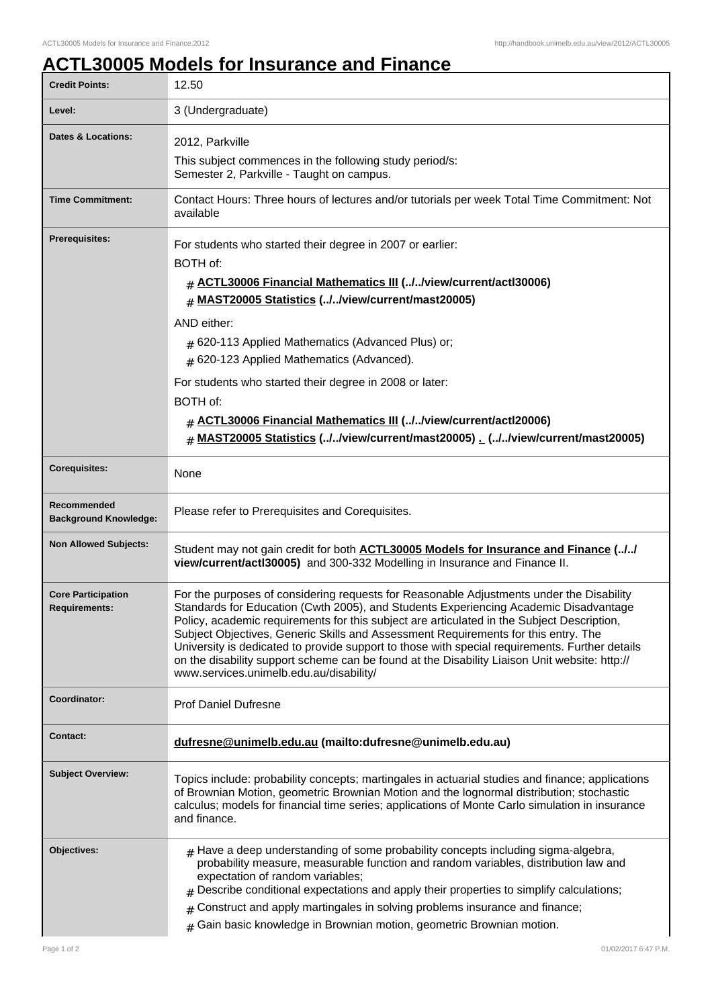## **ACTL30005 Models for Insurance and Finance**

| <b>Credit Points:</b>                             | 12.50                                                                                                                                                                                                                                                                                                                                                                                                                                                                                                                                                                                                              |
|---------------------------------------------------|--------------------------------------------------------------------------------------------------------------------------------------------------------------------------------------------------------------------------------------------------------------------------------------------------------------------------------------------------------------------------------------------------------------------------------------------------------------------------------------------------------------------------------------------------------------------------------------------------------------------|
| Level:                                            | 3 (Undergraduate)                                                                                                                                                                                                                                                                                                                                                                                                                                                                                                                                                                                                  |
| Dates & Locations:                                | 2012, Parkville                                                                                                                                                                                                                                                                                                                                                                                                                                                                                                                                                                                                    |
|                                                   | This subject commences in the following study period/s:<br>Semester 2, Parkville - Taught on campus.                                                                                                                                                                                                                                                                                                                                                                                                                                                                                                               |
| <b>Time Commitment:</b>                           | Contact Hours: Three hours of lectures and/or tutorials per week Total Time Commitment: Not<br>available                                                                                                                                                                                                                                                                                                                                                                                                                                                                                                           |
| <b>Prerequisites:</b>                             | For students who started their degree in 2007 or earlier:                                                                                                                                                                                                                                                                                                                                                                                                                                                                                                                                                          |
|                                                   | BOTH of:                                                                                                                                                                                                                                                                                                                                                                                                                                                                                                                                                                                                           |
|                                                   | # ACTL30006 Financial Mathematics III (//view/current/actl30006)<br><b>MAST20005 Statistics (//view/current/mast20005)</b><br>#                                                                                                                                                                                                                                                                                                                                                                                                                                                                                    |
|                                                   | AND either:                                                                                                                                                                                                                                                                                                                                                                                                                                                                                                                                                                                                        |
|                                                   | # 620-113 Applied Mathematics (Advanced Plus) or;                                                                                                                                                                                                                                                                                                                                                                                                                                                                                                                                                                  |
|                                                   | # 620-123 Applied Mathematics (Advanced).                                                                                                                                                                                                                                                                                                                                                                                                                                                                                                                                                                          |
|                                                   | For students who started their degree in 2008 or later:                                                                                                                                                                                                                                                                                                                                                                                                                                                                                                                                                            |
|                                                   | BOTH of:                                                                                                                                                                                                                                                                                                                                                                                                                                                                                                                                                                                                           |
|                                                   | # ACTL30006 Financial Mathematics III (.J.Jview/current/actl20006)                                                                                                                                                                                                                                                                                                                                                                                                                                                                                                                                                 |
|                                                   | MAST20005 Statistics (.J/view/current/mast20005) _ (.J/view/current/mast20005)<br>$\#$                                                                                                                                                                                                                                                                                                                                                                                                                                                                                                                             |
| <b>Corequisites:</b>                              | None                                                                                                                                                                                                                                                                                                                                                                                                                                                                                                                                                                                                               |
| Recommended<br><b>Background Knowledge:</b>       | Please refer to Prerequisites and Corequisites.                                                                                                                                                                                                                                                                                                                                                                                                                                                                                                                                                                    |
| <b>Non Allowed Subjects:</b>                      | Student may not gain credit for both <b>ACTL30005 Models for Insurance and Finance (././</b><br>view/current/actl30005) and 300-332 Modelling in Insurance and Finance II.                                                                                                                                                                                                                                                                                                                                                                                                                                         |
| <b>Core Participation</b><br><b>Requirements:</b> | For the purposes of considering requests for Reasonable Adjustments under the Disability<br>Standards for Education (Cwth 2005), and Students Experiencing Academic Disadvantage<br>Policy, academic requirements for this subject are articulated in the Subject Description,<br>Subject Objectives, Generic Skills and Assessment Requirements for this entry. The<br>University is dedicated to provide support to those with special requirements. Further details<br>on the disability support scheme can be found at the Disability Liaison Unit website: http://<br>www.services.unimelb.edu.au/disability/ |
| Coordinator:                                      | <b>Prof Daniel Dufresne</b>                                                                                                                                                                                                                                                                                                                                                                                                                                                                                                                                                                                        |
| <b>Contact:</b>                                   | dufresne@unimelb.edu.au (mailto:dufresne@unimelb.edu.au)                                                                                                                                                                                                                                                                                                                                                                                                                                                                                                                                                           |
| <b>Subject Overview:</b>                          | Topics include: probability concepts; martingales in actuarial studies and finance; applications<br>of Brownian Motion, geometric Brownian Motion and the lognormal distribution; stochastic<br>calculus; models for financial time series; applications of Monte Carlo simulation in insurance<br>and finance.                                                                                                                                                                                                                                                                                                    |
| Objectives:                                       | $#$ Have a deep understanding of some probability concepts including sigma-algebra,<br>probability measure, measurable function and random variables, distribution law and<br>expectation of random variables;<br>Describe conditional expectations and apply their properties to simplify calculations;<br>Construct and apply martingales in solving problems insurance and finance;<br>Gain basic knowledge in Brownian motion, geometric Brownian motion.<br>#                                                                                                                                                 |